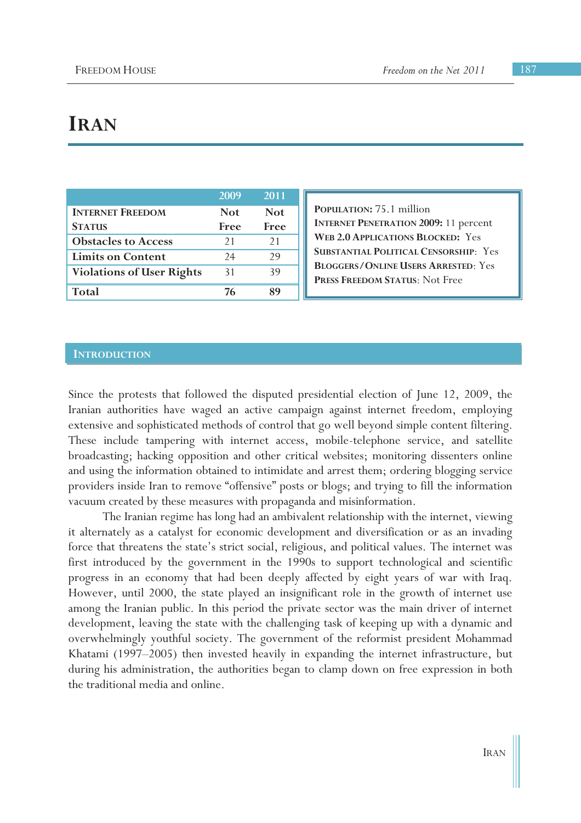# **IRAN**

|                                          | 2009               | 2011               |
|------------------------------------------|--------------------|--------------------|
| <b>INTERNET FREEDOM</b><br><b>STATUS</b> | <b>Not</b><br>Free | <b>Not</b><br>Free |
| <b>Obstacles to Access</b>               | 21                 | 21                 |
| <b>Limits on Content</b>                 | 24                 | 29                 |
| <b>Violations of User Rights</b>         | 31                 | 39                 |
| Total                                    | 76                 | 89                 |

1 million **ATION 2009:** 11 percent **FIONS BLOCKED:** Yes **SUBSTANTIAL POLITICAL CENSORSHIP**: Yes **BLOGGERS/ONLINE USERS ARRESTED**: Yes **PREADOM PREEDOM PREED** 

## **INTRODUCTION**

Since the protests that followed the disputed presidential election of June 12, 2009, the Iranian authorities have waged an active campaign against internet freedom, employing extensive and sophisticated methods of control that go well beyond simple content filtering. These include tampering with internet access, mobile-telephone service, and satellite broadcasting; hacking opposition and other critical websites; monitoring dissenters online and using the information obtained to intimidate and arrest them; ordering blogging service providers inside Iran to remove "offensive" posts or blogs; and trying to fill the information vacuum created by these measures with propaganda and misinformation.

The Iranian regime has long had an ambivalent relationship with the internet, viewing it alternately as a catalyst for economic development and diversification or as an invading force that threatens the state's strict social, religious, and political values. The internet was first introduced by the government in the 1990s to support technological and scientific progress in an economy that had been deeply affected by eight years of war with Iraq. However, until 2000, the state played an insignificant role in the growth of internet use among the Iranian public. In this period the private sector was the main driver of internet development, leaving the state with the challenging task of keeping up with a dynamic and overwhelmingly youthful society. The government of the reformist president Mohammad Khatami (1997–2005) then invested heavily in expanding the internet infrastructure, but during his administration, the authorities began to clamp down on free expression in both the traditional media and online.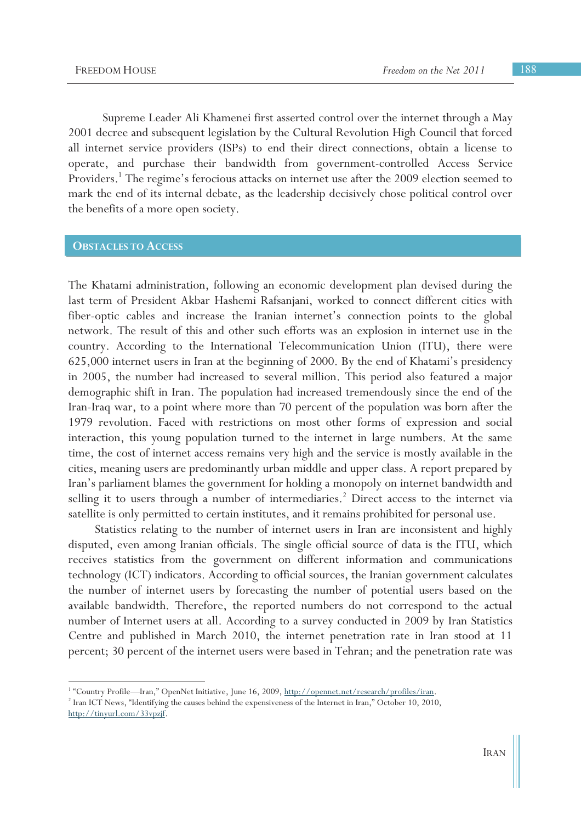Supreme Leader Ali Khamenei first asserted control over the internet through a May 2001 decree and subsequent legislation by the Cultural Revolution High Council that forced all internet service providers (ISPs) to end their direct connections, obtain a license to operate, and purchase their bandwidth from government-controlled Access Service Providers.<sup>1</sup> The regime's ferocious attacks on internet use after the 2009 election seemed to mark the end of its internal debate, as the leadership decisively chose political control over the benefits of a more open society.

#### **OBSTACLES TO ACCESS**

The Khatami administration, following an economic development plan devised during the last term of President Akbar Hashemi Rafsanjani, worked to connect different cities with fiber-optic cables and increase the Iranian internet's connection points to the global network. The result of this and other such efforts was an explosion in internet use in the country. According to the International Telecommunication Union (ITU), there were 625,000 internet users in Iran at the beginning of 2000. By the end of Khatami's presidency in 2005, the number had increased to several million. This period also featured a major demographic shift in Iran. The population had increased tremendously since the end of the Iran-Iraq war, to a point where more than 70 percent of the population was born after the 1979 revolution. Faced with restrictions on most other forms of expression and social interaction, this young population turned to the internet in large numbers. At the same time, the cost of internet access remains very high and the service is mostly available in the cities, meaning users are predominantly urban middle and upper class. A report prepared by Iran's parliament blames the government for holding a monopoly on internet bandwidth and selling it to users through a number of intermediaries.<sup>2</sup> Direct access to the internet via satellite is only permitted to certain institutes, and it remains prohibited for personal use.

 Statistics relating to the number of internet users in Iran are inconsistent and highly disputed, even among Iranian officials. The single official source of data is the ITU, which receives statistics from the government on different information and communications technology (ICT) indicators. According to official sources, the Iranian government calculates the number of internet users by forecasting the number of potential users based on the available bandwidth. Therefore, the reported numbers do not correspond to the actual number of Internet users at all. According to a survey conducted in 2009 by Iran Statistics Centre and published in March 2010, the internet penetration rate in Iran stood at 11 percent; 30 percent of the internet users were based in Tehran; and the penetration rate was

<sup>&</sup>lt;sup>1</sup> "Country Profile—Iran," OpenNet Initiative, June 16, 2009, http://opennet.net/research/profiles/iran.

<sup>&</sup>lt;sup>2</sup> Iran ICT News, "Identifying the causes behind the expensiveness of the Internet in Iran," October 10, 2010, http://tinyurl.com/33vpzjf.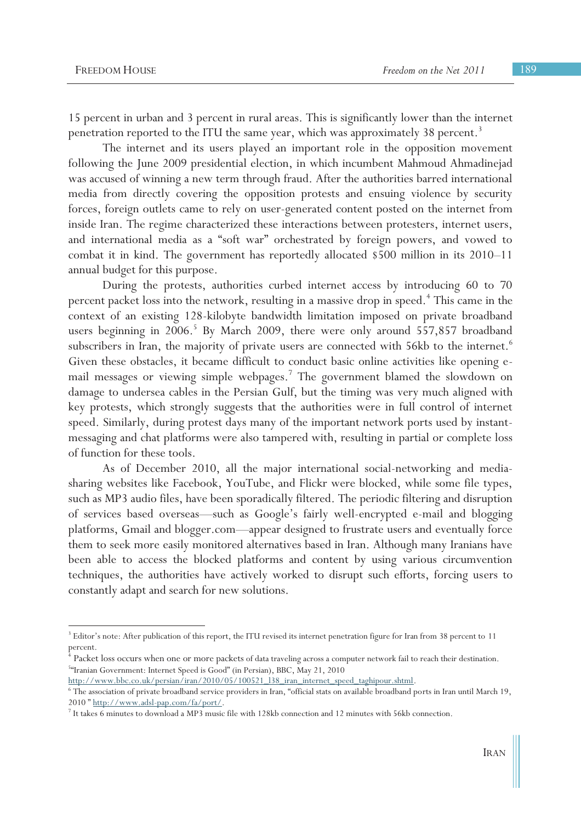15 percent in urban and 3 percent in rural areas. This is significantly lower than the internet penetration reported to the ITU the same year, which was approximately 38 percent.<sup>3</sup>

The internet and its users played an important role in the opposition movement following the June 2009 presidential election, in which incumbent Mahmoud Ahmadinejad was accused of winning a new term through fraud. After the authorities barred international media from directly covering the opposition protests and ensuing violence by security forces, foreign outlets came to rely on user-generated content posted on the internet from inside Iran. The regime characterized these interactions between protesters, internet users, and international media as a "soft war" orchestrated by foreign powers, and vowed to combat it in kind. The government has reportedly allocated \$500 million in its 2010–11 annual budget for this purpose.

During the protests, authorities curbed internet access by introducing 60 to 70 percent packet loss into the network, resulting in a massive drop in speed.<sup>4</sup> This came in the context of an existing 128-kilobyte bandwidth limitation imposed on private broadband users beginning in 2006.<sup>5</sup> By March 2009, there were only around 557,857 broadband subscribers in Iran, the majority of private users are connected with 56kb to the internet.<sup>6</sup> Given these obstacles, it became difficult to conduct basic online activities like opening email messages or viewing simple webpages.<sup>7</sup> The government blamed the slowdown on damage to undersea cables in the Persian Gulf, but the timing was very much aligned with key protests, which strongly suggests that the authorities were in full control of internet speed. Similarly, during protest days many of the important network ports used by instantmessaging and chat platforms were also tampered with, resulting in partial or complete loss of function for these tools.

As of December 2010, all the major international social-networking and mediasharing websites like Facebook, YouTube, and Flickr were blocked, while some file types, such as MP3 audio files, have been sporadically filtered. The periodic filtering and disruption of services based overseas—such as Google's fairly well-encrypted e-mail and blogging platforms, Gmail and blogger.com—appear designed to frustrate users and eventually force them to seek more easily monitored alternatives based in Iran. Although many Iranians have been able to access the blocked platforms and content by using various circumvention techniques, the authorities have actively worked to disrupt such efforts, forcing users to constantly adapt and search for new solutions.

<sup>&</sup>lt;sup>3</sup> Editor's note: After publication of this report, the ITU revised its internet penetration figure for Iran from 38 percent to 11 percent.

<sup>&</sup>lt;sup>4</sup> Packet loss occurs when one or more packets of data traveling across a computer network fail to reach their destination. 5 "Iranian Government: Internet Speed is Good" (in Persian), BBC, May 21, 2010

http://www.bbc.co.uk/persian/iran/2010/05/100521\_l38\_iran\_internet\_speed\_taghipour.shtml.

<sup>6</sup> The association of private broadband service providers in Iran, "official stats on available broadband ports in Iran until March 19, 2010 " http://www.adsl-pap.com/fa/port/.

 $^7$  It takes 6 minutes to download a MP3 music file with 128kb connection and 12 minutes with 56kb connection.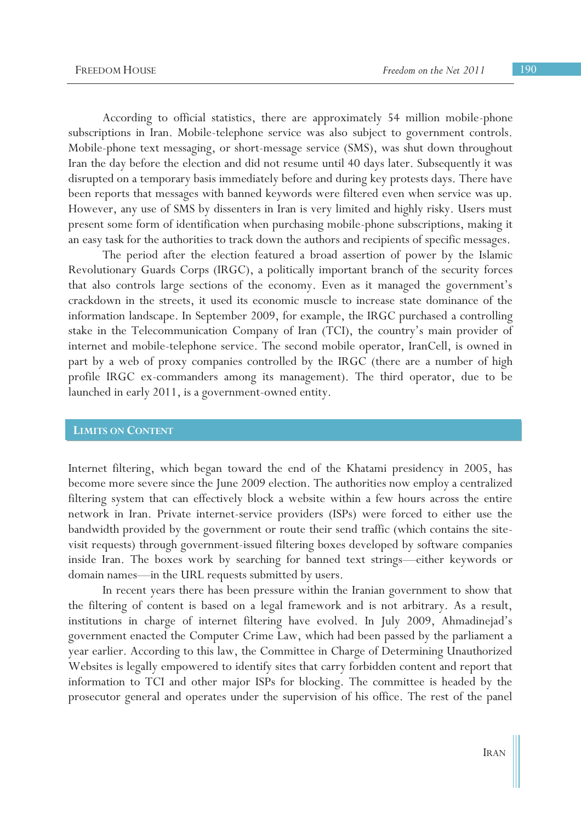According to official statistics, there are approximately 54 million mobile-phone subscriptions in Iran. Mobile-telephone service was also subject to government controls. Mobile-phone text messaging, or short-message service (SMS), was shut down throughout Iran the day before the election and did not resume until 40 days later. Subsequently it was disrupted on a temporary basis immediately before and during key protests days. There have been reports that messages with banned keywords were filtered even when service was up. However, any use of SMS by dissenters in Iran is very limited and highly risky. Users must present some form of identification when purchasing mobile-phone subscriptions, making it an easy task for the authorities to track down the authors and recipients of specific messages.

The period after the election featured a broad assertion of power by the Islamic Revolutionary Guards Corps (IRGC), a politically important branch of the security forces that also controls large sections of the economy. Even as it managed the government's crackdown in the streets, it used its economic muscle to increase state dominance of the information landscape. In September 2009, for example, the IRGC purchased a controlling stake in the Telecommunication Company of Iran (TCI), the country's main provider of internet and mobile-telephone service. The second mobile operator, IranCell, is owned in part by a web of proxy companies controlled by the IRGC (there are a number of high profile IRGC ex-commanders among its management). The third operator, due to be launched in early 2011, is a government-owned entity.

#### **LIMITS ON CONTENT**

Internet filtering, which began toward the end of the Khatami presidency in 2005, has become more severe since the June 2009 election. The authorities now employ a centralized filtering system that can effectively block a website within a few hours across the entire network in Iran. Private internet-service providers (ISPs) were forced to either use the bandwidth provided by the government or route their send traffic (which contains the sitevisit requests) through government-issued filtering boxes developed by software companies inside Iran. The boxes work by searching for banned text strings—either keywords or domain names—in the URL requests submitted by users.

In recent years there has been pressure within the Iranian government to show that the filtering of content is based on a legal framework and is not arbitrary. As a result, institutions in charge of internet filtering have evolved. In July 2009, Ahmadinejad's government enacted the Computer Crime Law, which had been passed by the parliament a year earlier. According to this law, the Committee in Charge of Determining Unauthorized Websites is legally empowered to identify sites that carry forbidden content and report that information to TCI and other major ISPs for blocking. The committee is headed by the prosecutor general and operates under the supervision of his office. The rest of the panel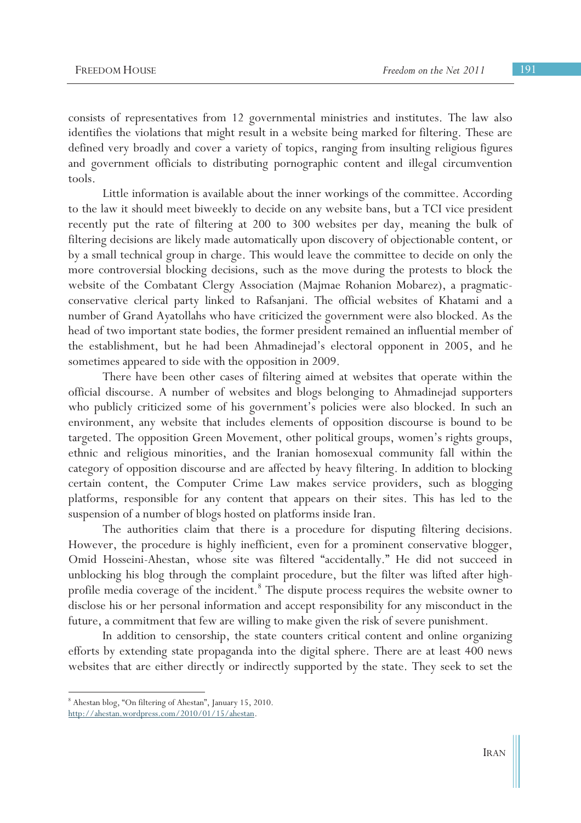consists of representatives from 12 governmental ministries and institutes. The law also identifies the violations that might result in a website being marked for filtering. These are defined very broadly and cover a variety of topics, ranging from insulting religious figures and government officials to distributing pornographic content and illegal circumvention tools.

Little information is available about the inner workings of the committee. According to the law it should meet biweekly to decide on any website bans, but a TCI vice president recently put the rate of filtering at 200 to 300 websites per day, meaning the bulk of filtering decisions are likely made automatically upon discovery of objectionable content, or by a small technical group in charge. This would leave the committee to decide on only the more controversial blocking decisions, such as the move during the protests to block the website of the Combatant Clergy Association (Majmae Rohanion Mobarez), a pragmaticconservative clerical party linked to Rafsanjani. The official websites of Khatami and a number of Grand Ayatollahs who have criticized the government were also blocked. As the head of two important state bodies, the former president remained an influential member of the establishment, but he had been Ahmadinejad's electoral opponent in 2005, and he sometimes appeared to side with the opposition in 2009.

There have been other cases of filtering aimed at websites that operate within the official discourse. A number of websites and blogs belonging to Ahmadinejad supporters who publicly criticized some of his government's policies were also blocked. In such an environment, any website that includes elements of opposition discourse is bound to be targeted. The opposition Green Movement, other political groups, women's rights groups, ethnic and religious minorities, and the Iranian homosexual community fall within the category of opposition discourse and are affected by heavy filtering. In addition to blocking certain content, the Computer Crime Law makes service providers, such as blogging platforms, responsible for any content that appears on their sites. This has led to the suspension of a number of blogs hosted on platforms inside Iran.

The authorities claim that there is a procedure for disputing filtering decisions. However, the procedure is highly inefficient, even for a prominent conservative blogger, Omid Hosseini-Ahestan, whose site was filtered "accidentally." He did not succeed in unblocking his blog through the complaint procedure, but the filter was lifted after highprofile media coverage of the incident.<sup>8</sup> The dispute process requires the website owner to disclose his or her personal information and accept responsibility for any misconduct in the future, a commitment that few are willing to make given the risk of severe punishment.

In addition to censorship, the state counters critical content and online organizing efforts by extending state propaganda into the digital sphere. There are at least 400 news websites that are either directly or indirectly supported by the state. They seek to set the

l.

<sup>8</sup> Ahestan blog, "On filtering of Ahestan", January 15, 2010. http://ahestan.wordpress.com/2010/01/15/ahestan.

IRAN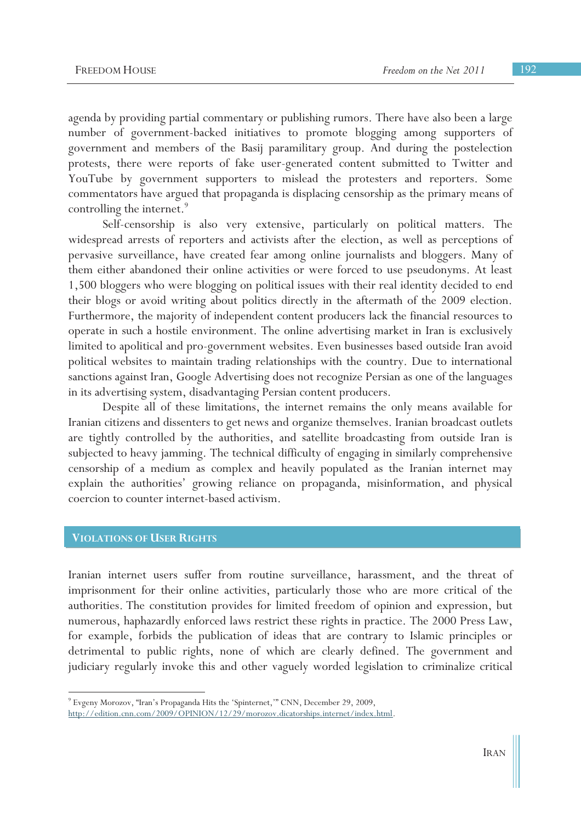agenda by providing partial commentary or publishing rumors. There have also been a large number of government-backed initiatives to promote blogging among supporters of government and members of the Basij paramilitary group. And during the postelection protests, there were reports of fake user-generated content submitted to Twitter and YouTube by government supporters to mislead the protesters and reporters. Some commentators have argued that propaganda is displacing censorship as the primary means of controlling the internet.<sup>9</sup>

Self-censorship is also very extensive, particularly on political matters. The widespread arrests of reporters and activists after the election, as well as perceptions of pervasive surveillance, have created fear among online journalists and bloggers. Many of them either abandoned their online activities or were forced to use pseudonyms. At least 1,500 bloggers who were blogging on political issues with their real identity decided to end their blogs or avoid writing about politics directly in the aftermath of the 2009 election. Furthermore, the majority of independent content producers lack the financial resources to operate in such a hostile environment. The online advertising market in Iran is exclusively limited to apolitical and pro-government websites. Even businesses based outside Iran avoid political websites to maintain trading relationships with the country. Due to international sanctions against Iran, Google Advertising does not recognize Persian as one of the languages in its advertising system, disadvantaging Persian content producers.

Despite all of these limitations, the internet remains the only means available for Iranian citizens and dissenters to get news and organize themselves. Iranian broadcast outlets are tightly controlled by the authorities, and satellite broadcasting from outside Iran is subjected to heavy jamming. The technical difficulty of engaging in similarly comprehensive censorship of a medium as complex and heavily populated as the Iranian internet may explain the authorities' growing reliance on propaganda, misinformation, and physical coercion to counter internet-based activism.

### **VIOLATIONS OF USER RIGHTS**

 $\overline{a}$ 

Iranian internet users suffer from routine surveillance, harassment, and the threat of imprisonment for their online activities, particularly those who are more critical of the authorities. The constitution provides for limited freedom of opinion and expression, but numerous, haphazardly enforced laws restrict these rights in practice. The 2000 Press Law, for example, forbids the publication of ideas that are contrary to Islamic principles or detrimental to public rights, none of which are clearly defined. The government and judiciary regularly invoke this and other vaguely worded legislation to criminalize critical

<sup>9</sup> Evgeny Morozov, "Iran's Propaganda Hits the 'Spinternet,'" CNN, December 29, 2009, http://edition.cnn.com/2009/OPINION/12/29/morozov.dicatorships.internet/index.html.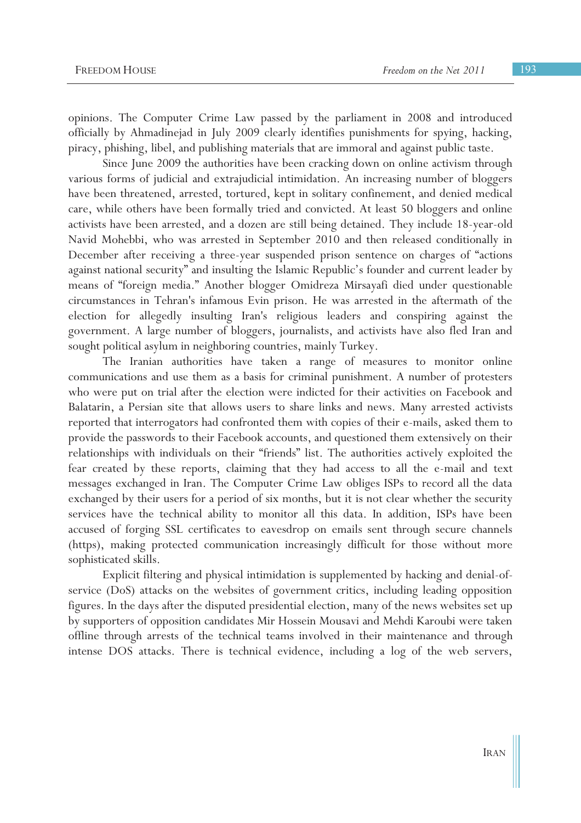opinions. The Computer Crime Law passed by the parliament in 2008 and introduced officially by Ahmadinejad in July 2009 clearly identifies punishments for spying, hacking, piracy, phishing, libel, and publishing materials that are immoral and against public taste.

Since June 2009 the authorities have been cracking down on online activism through various forms of judicial and extrajudicial intimidation. An increasing number of bloggers have been threatened, arrested, tortured, kept in solitary confinement, and denied medical care, while others have been formally tried and convicted. At least 50 bloggers and online activists have been arrested, and a dozen are still being detained. They include 18-year-old Navid Mohebbi, who was arrested in September 2010 and then released conditionally in December after receiving a three-year suspended prison sentence on charges of "actions against national security" and insulting the Islamic Republic's founder and current leader by means of "foreign media." Another blogger Omidreza Mirsayafi died under questionable circumstances in Tehran's infamous Evin prison. He was arrested in the aftermath of the election for allegedly insulting Iran's religious leaders and conspiring against the government. A large number of bloggers, journalists, and activists have also fled Iran and sought political asylum in neighboring countries, mainly Turkey.

The Iranian authorities have taken a range of measures to monitor online communications and use them as a basis for criminal punishment. A number of protesters who were put on trial after the election were indicted for their activities on Facebook and Balatarin, a Persian site that allows users to share links and news. Many arrested activists reported that interrogators had confronted them with copies of their e-mails, asked them to provide the passwords to their Facebook accounts, and questioned them extensively on their relationships with individuals on their "friends" list. The authorities actively exploited the fear created by these reports, claiming that they had access to all the e-mail and text messages exchanged in Iran. The Computer Crime Law obliges ISPs to record all the data exchanged by their users for a period of six months, but it is not clear whether the security services have the technical ability to monitor all this data. In addition, ISPs have been accused of forging SSL certificates to eavesdrop on emails sent through secure channels (https), making protected communication increasingly difficult for those without more sophisticated skills.

Explicit filtering and physical intimidation is supplemented by hacking and denial-ofservice (DoS) attacks on the websites of government critics, including leading opposition figures. In the days after the disputed presidential election, many of the news websites set up by supporters of opposition candidates Mir Hossein Mousavi and Mehdi Karoubi were taken offline through arrests of the technical teams involved in their maintenance and through intense DOS attacks. There is technical evidence, including a log of the web servers,